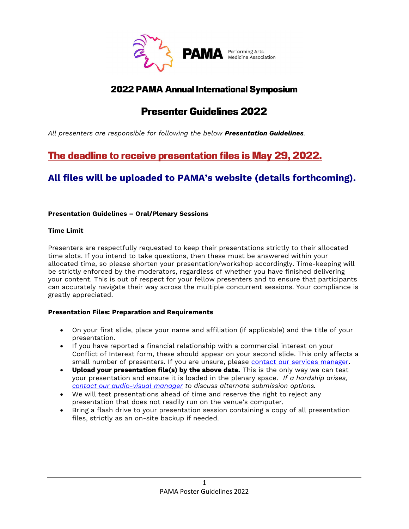

## 2022 PAMA Annual International Symposium

# Presenter Guidelines 2022

All presenters are responsible for following the below Presentation Guidelines.

# The deadline to receive presentation files is May 29, 2022.

## All files will be uploaded to PAMA's website (details forthcoming).

## Presentation Guidelines – Oral/Plenary Sessions

## Time Limit

Presenters are respectfully requested to keep their presentations strictly to their allocated time slots. If you intend to take questions, then these must be answered within your allocated time, so please shorten your presentation/workshop accordingly. Time-keeping will be strictly enforced by the moderators, regardless of whether you have finished delivering your content. This is out of respect for your fellow presenters and to ensure that participants can accurately navigate their way across the multiple concurrent sessions. Your compliance is greatly appreciated.

## Presentation Files: Preparation and Requirements

- On your first slide, place your name and affiliation (if applicable) and the title of your presentation.
- If you have reported a financial relationship with a commercial interest on your Conflict of Interest form, these should appear on your second slide. This only affects a small number of presenters. If you are unsure, please contact our services manager.
- Upload your presentation file(s) by the above date. This is the only way we can test your presentation and ensure it is loaded in the plenary space. If a hardship arises, contact our audio-visual manager to discuss alternate submission options.
- We will test presentations ahead of time and reserve the right to reject any presentation that does not readily run on the venue's computer.
- Bring a flash drive to your presentation session containing a copy of all presentation files, strictly as an on-site backup if needed.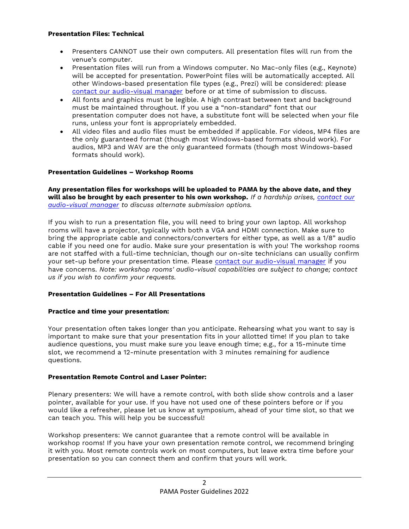#### Presentation Files: Technical

- Presenters CANNOT use their own computers. All presentation files will run from the venue's computer.
- Presentation files will run from a Windows computer. No Mac-only files (e.g., Keynote) will be accepted for presentation. PowerPoint files will be automatically accepted. All other Windows-based presentation file types (e.g., Prezi) will be considered: please contact our audio-visual manager before or at time of submission to discuss.
- All fonts and graphics must be legible. A high contrast between text and background must be maintained throughout. If you use a "non-standard" font that our presentation computer does not have, a substitute font will be selected when your file runs, unless your font is appropriately embedded.
- All video files and audio files must be embedded if applicable. For videos, MP4 files are the only guaranteed format (though most Windows-based formats should work). For audios, MP3 and WAV are the only guaranteed formats (though most Windows-based formats should work).

## Presentation Guidelines – Workshop Rooms

Any presentation files for workshops will be uploaded to PAMA by the above date, and they will also be brought by each presenter to his own workshop. If a hardship arises, contact our audio-visual manager to discuss alternate submission options.

If you wish to run a presentation file, you will need to bring your own laptop. All workshop rooms will have a projector, typically with both a VGA and HDMI connection. Make sure to bring the appropriate cable and connectors/converters for either type, as well as a 1/8" audio cable if you need one for audio. Make sure your presentation is with you! The workshop rooms are not staffed with a full-time technician, though our on-site technicians can usually confirm your set-up before your presentation time. Please contact our audio-visual manager if you have concerns. Note: workshop rooms' audio-visual capabilities are subject to change; contact us if you wish to confirm your requests.

## Presentation Guidelines – For All Presentations

## Practice and time your presentation:

Your presentation often takes longer than you anticipate. Rehearsing what you want to say is important to make sure that your presentation fits in your allotted time! If you plan to take audience questions, you must make sure you leave enough time; e.g., for a 15-minute time slot, we recommend a 12-minute presentation with 3 minutes remaining for audience questions.

## Presentation Remote Control and Laser Pointer:

Plenary presenters: We will have a remote control, with both slide show controls and a laser pointer, available for your use. If you have not used one of these pointers before or if you would like a refresher, please let us know at symposium, ahead of your time slot, so that we can teach you. This will help you be successful!

Workshop presenters: We cannot guarantee that a remote control will be available in workshop rooms! If you have your own presentation remote control, we recommend bringing it with you. Most remote controls work on most computers, but leave extra time before your presentation so you can connect them and confirm that yours will work.